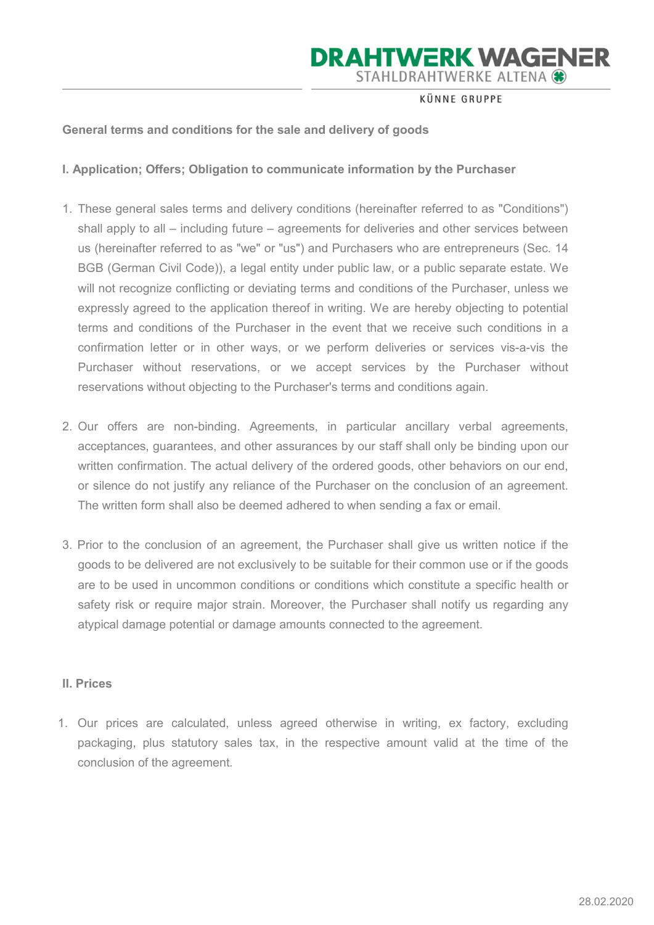**KÜNNE GRUPPE** 

### General terms and conditions for the sale and delivery of goods

I. Application; Offers; Obligation to communicate information by the Purchaser

- 1. These general sales terms and delivery conditions (hereinafter referred to as "Conditions") shall apply to all – including future – agreements for deliveries and other services between us (hereinafter referred to as "we" or "us") and Purchasers who are entrepreneurs (Sec. 14 BGB (German Civil Code)), a legal entity under public law, or a public separate estate. We will not recognize conflicting or deviating terms and conditions of the Purchaser, unless we expressly agreed to the application thereof in writing. We are hereby objecting to potential terms and conditions of the Purchaser in the event that we receive such conditions in a confirmation letter or in other ways, or we perform deliveries or services vis-a-vis the Purchaser without reservations, or we accept services by the Purchaser without reservations without objecting to the Purchaser's terms and conditions again.
- 2. Our offers are non-binding. Agreements, in particular ancillary verbal agreements, acceptances, guarantees, and other assurances by our staff shall only be binding upon our written confirmation. The actual delivery of the ordered goods, other behaviors on our end, or silence do not justify any reliance of the Purchaser on the conclusion of an agreement. The written form shall also be deemed adhered to when sending a fax or email.
- 3. Prior to the conclusion of an agreement, the Purchaser shall give us written notice if the goods to be delivered are not exclusively to be suitable for their common use or if the goods are to be used in uncommon conditions or conditions which constitute a specific health or safety risk or require major strain. Moreover, the Purchaser shall notify us regarding any atypical damage potential or damage amounts connected to the agreement.

#### II. Prices

1. Our prices are calculated, unless agreed otherwise in writing, ex factory, excluding packaging, plus statutory sales tax, in the respective amount valid at the time of the conclusion of the agreement.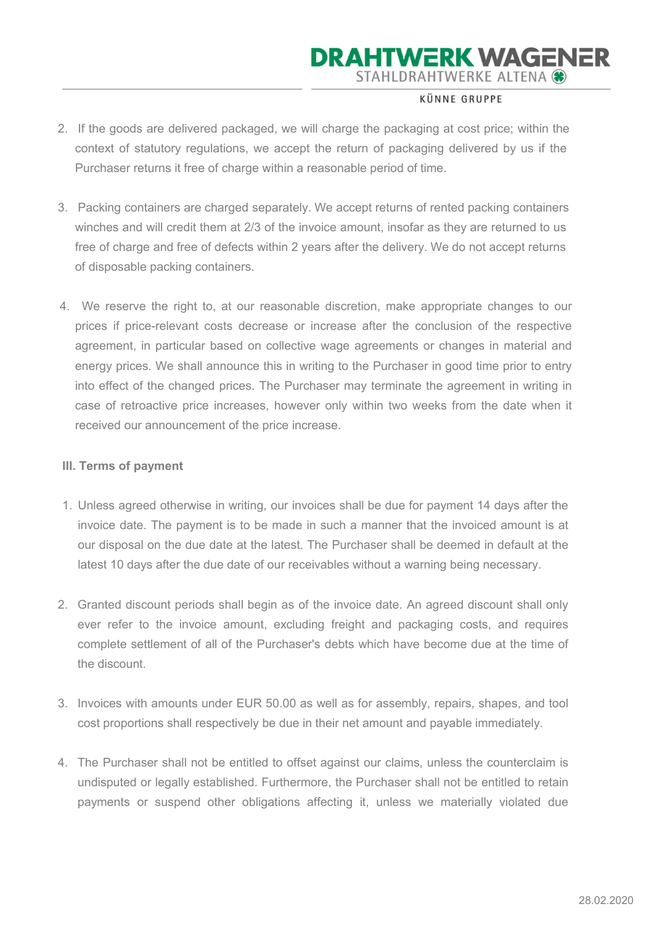### **KÜNNE GRUPPE**

- 2. If the goods are delivered packaged, we will charge the packaging at cost price; within the context of statutory regulations, we accept the return of packaging delivered by us if the Purchaser returns it free of charge within a reasonable period of time.
- 3. Packing containers are charged separately. We accept returns of rented packing containers winches and will credit them at 2/3 of the invoice amount, insofar as they are returned to us free of charge and free of defects within 2 years after the delivery. We do not accept returns of disposable packing containers.
- 4. We reserve the right to, at our reasonable discretion, make appropriate changes to our prices if price-relevant costs decrease or increase after the conclusion of the respective agreement, in particular based on collective wage agreements or changes in material and energy prices. We shall announce this in writing to the Purchaser in good time prior to entry into effect of the changed prices. The Purchaser may terminate the agreement in writing in case of retroactive price increases, however only within two weeks from the date when it received our announcement of the price increase.

#### III. Terms of payment

- 1. Unless agreed otherwise in writing, our invoices shall be due for payment 14 days after the invoice date. The payment is to be made in such a manner that the invoiced amount is at our disposal on the due date at the latest. The Purchaser shall be deemed in default at the latest 10 days after the due date of our receivables without a warning being necessary.
- 2. Granted discount periods shall begin as of the invoice date. An agreed discount shall only ever refer to the invoice amount, excluding freight and packaging costs, and requires complete settlement of all of the Purchaser's debts which have become due at the time of the discount.
- 3. Invoices with amounts under EUR 50.00 as well as for assembly, repairs, shapes, and tool cost proportions shall respectively be due in their net amount and payable immediately.
- 4. The Purchaser shall not be entitled to offset against our claims, unless the counterclaim is undisputed or legally established. Furthermore, the Purchaser shall not be entitled to retain payments or suspend other obligations affecting it, unless we materially violated due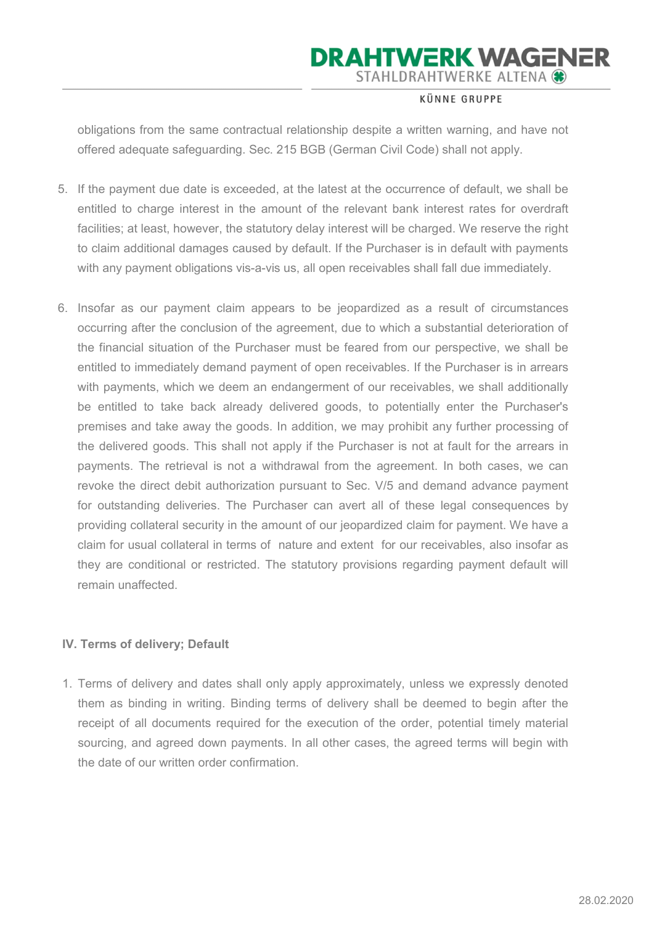#### **KÜNNE GRUPPE**

obligations from the same contractual relationship despite a written warning, and have not offered adequate safeguarding. Sec. 215 BGB (German Civil Code) shall not apply.

- 5. If the payment due date is exceeded, at the latest at the occurrence of default, we shall be entitled to charge interest in the amount of the relevant bank interest rates for overdraft facilities; at least, however, the statutory delay interest will be charged. We reserve the right to claim additional damages caused by default. If the Purchaser is in default with payments with any payment obligations vis-a-vis us, all open receivables shall fall due immediately.
- 6. Insofar as our payment claim appears to be jeopardized as a result of circumstances occurring after the conclusion of the agreement, due to which a substantial deterioration of the financial situation of the Purchaser must be feared from our perspective, we shall be entitled to immediately demand payment of open receivables. If the Purchaser is in arrears with payments, which we deem an endangerment of our receivables, we shall additionally be entitled to take back already delivered goods, to potentially enter the Purchaser's premises and take away the goods. In addition, we may prohibit any further processing of the delivered goods. This shall not apply if the Purchaser is not at fault for the arrears in payments. The retrieval is not a withdrawal from the agreement. In both cases, we can revoke the direct debit authorization pursuant to Sec. V/5 and demand advance payment for outstanding deliveries. The Purchaser can avert all of these legal consequences by providing collateral security in the amount of our jeopardized claim for payment. We have a claim for usual collateral in terms of nature and extent for our receivables, also insofar as they are conditional or restricted. The statutory provisions regarding payment default will remain unaffected.

#### IV. Terms of delivery; Default

1. Terms of delivery and dates shall only apply approximately, unless we expressly denoted them as binding in writing. Binding terms of delivery shall be deemed to begin after the receipt of all documents required for the execution of the order, potential timely material sourcing, and agreed down payments. In all other cases, the agreed terms will begin with the date of our written order confirmation.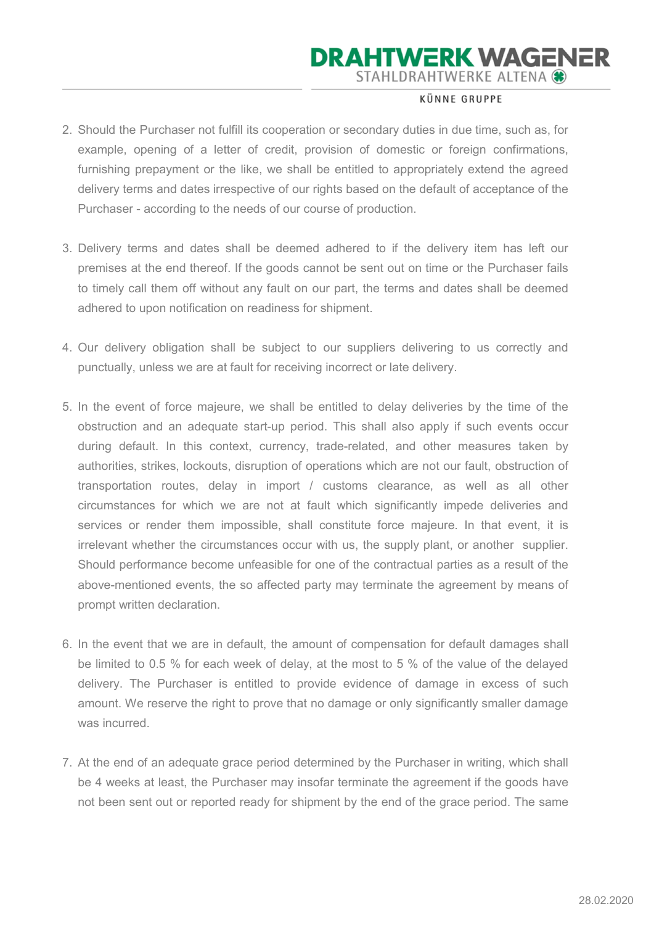### **KÜNNE GRUPPE**

- 2. Should the Purchaser not fulfill its cooperation or secondary duties in due time, such as, for example, opening of a letter of credit, provision of domestic or foreign confirmations, furnishing prepayment or the like, we shall be entitled to appropriately extend the agreed delivery terms and dates irrespective of our rights based on the default of acceptance of the Purchaser - according to the needs of our course of production.
- 3. Delivery terms and dates shall be deemed adhered to if the delivery item has left our premises at the end thereof. If the goods cannot be sent out on time or the Purchaser fails to timely call them off without any fault on our part, the terms and dates shall be deemed adhered to upon notification on readiness for shipment.
- 4. Our delivery obligation shall be subject to our suppliers delivering to us correctly and punctually, unless we are at fault for receiving incorrect or late delivery.
- 5. In the event of force majeure, we shall be entitled to delay deliveries by the time of the obstruction and an adequate start-up period. This shall also apply if such events occur during default. In this context, currency, trade-related, and other measures taken by authorities, strikes, lockouts, disruption of operations which are not our fault, obstruction of transportation routes, delay in import / customs clearance, as well as all other circumstances for which we are not at fault which significantly impede deliveries and services or render them impossible, shall constitute force majeure. In that event, it is irrelevant whether the circumstances occur with us, the supply plant, or another supplier. Should performance become unfeasible for one of the contractual parties as a result of the above-mentioned events, the so affected party may terminate the agreement by means of prompt written declaration.
- 6. In the event that we are in default, the amount of compensation for default damages shall be limited to 0.5 % for each week of delay, at the most to 5 % of the value of the delayed delivery. The Purchaser is entitled to provide evidence of damage in excess of such amount. We reserve the right to prove that no damage or only significantly smaller damage was incurred.
- 7. At the end of an adequate grace period determined by the Purchaser in writing, which shall be 4 weeks at least, the Purchaser may insofar terminate the agreement if the goods have not been sent out or reported ready for shipment by the end of the grace period. The same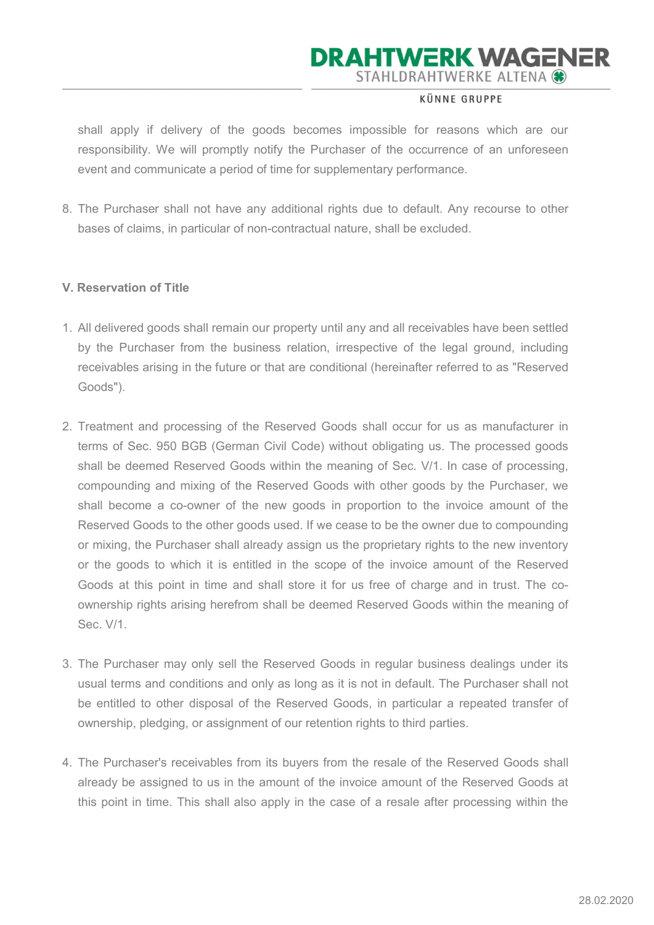#### **KÜNNE GRUPPE**

shall apply if delivery of the goods becomes impossible for reasons which are our responsibility. We will promptly notify the Purchaser of the occurrence of an unforeseen event and communicate a period of time for supplementary performance.

8. The Purchaser shall not have any additional rights due to default. Any recourse to other bases of claims, in particular of non-contractual nature, shall be excluded.

### V. Reservation of Title

- 1. All delivered goods shall remain our property until any and all receivables have been settled by the Purchaser from the business relation, irrespective of the legal ground, including receivables arising in the future or that are conditional (hereinafter referred to as "Reserved Goods").
- 2. Treatment and processing of the Reserved Goods shall occur for us as manufacturer in terms of Sec. 950 BGB (German Civil Code) without obligating us. The processed goods shall be deemed Reserved Goods within the meaning of Sec. V/1. In case of processing, compounding and mixing of the Reserved Goods with other goods by the Purchaser, we shall become a co-owner of the new goods in proportion to the invoice amount of the Reserved Goods to the other goods used. If we cease to be the owner due to compounding or mixing, the Purchaser shall already assign us the proprietary rights to the new inventory or the goods to which it is entitled in the scope of the invoice amount of the Reserved Goods at this point in time and shall store it for us free of charge and in trust. The coownership rights arising herefrom shall be deemed Reserved Goods within the meaning of Sec. V/1.
- 3. The Purchaser may only sell the Reserved Goods in regular business dealings under its usual terms and conditions and only as long as it is not in default. The Purchaser shall not be entitled to other disposal of the Reserved Goods, in particular a repeated transfer of ownership, pledging, or assignment of our retention rights to third parties.
- 4. The Purchaser's receivables from its buyers from the resale of the Reserved Goods shall already be assigned to us in the amount of the invoice amount of the Reserved Goods at this point in time. This shall also apply in the case of a resale after processing within the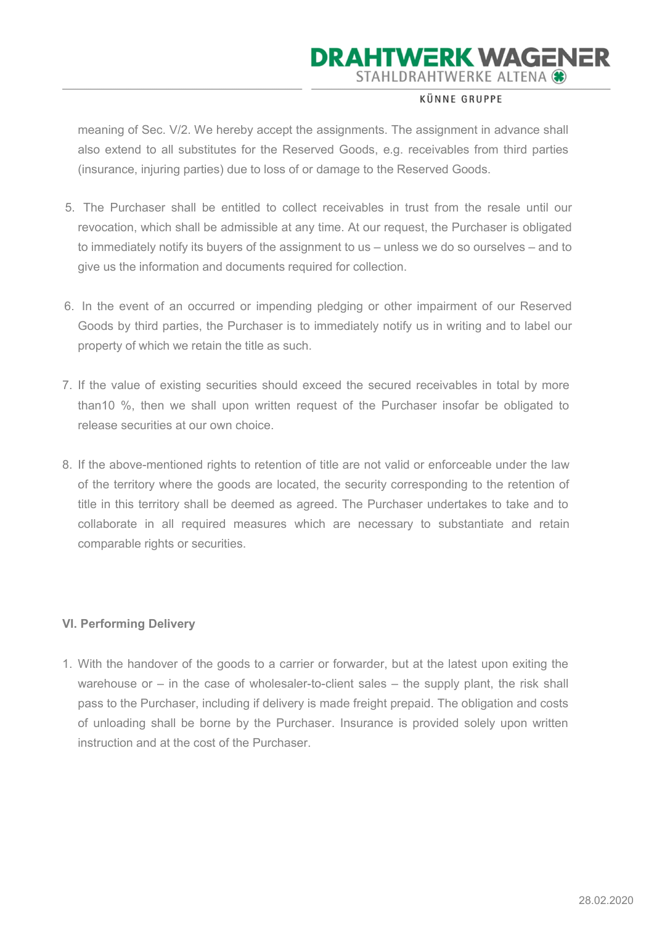### **KÜNNE GRUPPE**

meaning of Sec. V/2. We hereby accept the assignments. The assignment in advance shall also extend to all substitutes for the Reserved Goods, e.g. receivables from third parties (insurance, injuring parties) due to loss of or damage to the Reserved Goods.

- 5. The Purchaser shall be entitled to collect receivables in trust from the resale until our revocation, which shall be admissible at any time. At our request, the Purchaser is obligated to immediately notify its buyers of the assignment to us – unless we do so ourselves – and to give us the information and documents required for collection.
- 6. In the event of an occurred or impending pledging or other impairment of our Reserved Goods by third parties, the Purchaser is to immediately notify us in writing and to label our property of which we retain the title as such.
- 7. If the value of existing securities should exceed the secured receivables in total by more than10 %, then we shall upon written request of the Purchaser insofar be obligated to release securities at our own choice.
- 8. If the above-mentioned rights to retention of title are not valid or enforceable under the law of the territory where the goods are located, the security corresponding to the retention of title in this territory shall be deemed as agreed. The Purchaser undertakes to take and to collaborate in all required measures which are necessary to substantiate and retain comparable rights or securities.

### VI. Performing Delivery

1. With the handover of the goods to a carrier or forwarder, but at the latest upon exiting the warehouse or – in the case of wholesaler-to-client sales – the supply plant, the risk shall pass to the Purchaser, including if delivery is made freight prepaid. The obligation and costs of unloading shall be borne by the Purchaser. Insurance is provided solely upon written instruction and at the cost of the Purchaser.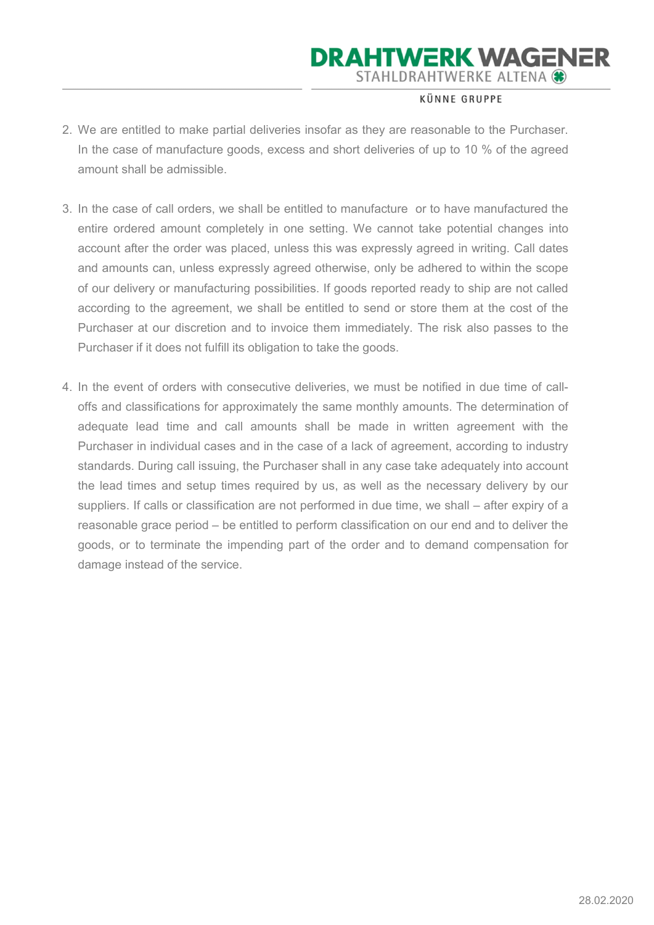### **KÜNNE GRUPPE**

- 2. We are entitled to make partial deliveries insofar as they are reasonable to the Purchaser. In the case of manufacture goods, excess and short deliveries of up to 10 % of the agreed amount shall be admissible.
- 3. In the case of call orders, we shall be entitled to manufacture or to have manufactured the entire ordered amount completely in one setting. We cannot take potential changes into account after the order was placed, unless this was expressly agreed in writing. Call dates and amounts can, unless expressly agreed otherwise, only be adhered to within the scope of our delivery or manufacturing possibilities. If goods reported ready to ship are not called according to the agreement, we shall be entitled to send or store them at the cost of the Purchaser at our discretion and to invoice them immediately. The risk also passes to the Purchaser if it does not fulfill its obligation to take the goods.
- 4. In the event of orders with consecutive deliveries, we must be notified in due time of calloffs and classifications for approximately the same monthly amounts. The determination of adequate lead time and call amounts shall be made in written agreement with the Purchaser in individual cases and in the case of a lack of agreement, according to industry standards. During call issuing, the Purchaser shall in any case take adequately into account the lead times and setup times required by us, as well as the necessary delivery by our suppliers. If calls or classification are not performed in due time, we shall – after expiry of a reasonable grace period – be entitled to perform classification on our end and to deliver the goods, or to terminate the impending part of the order and to demand compensation for damage instead of the service.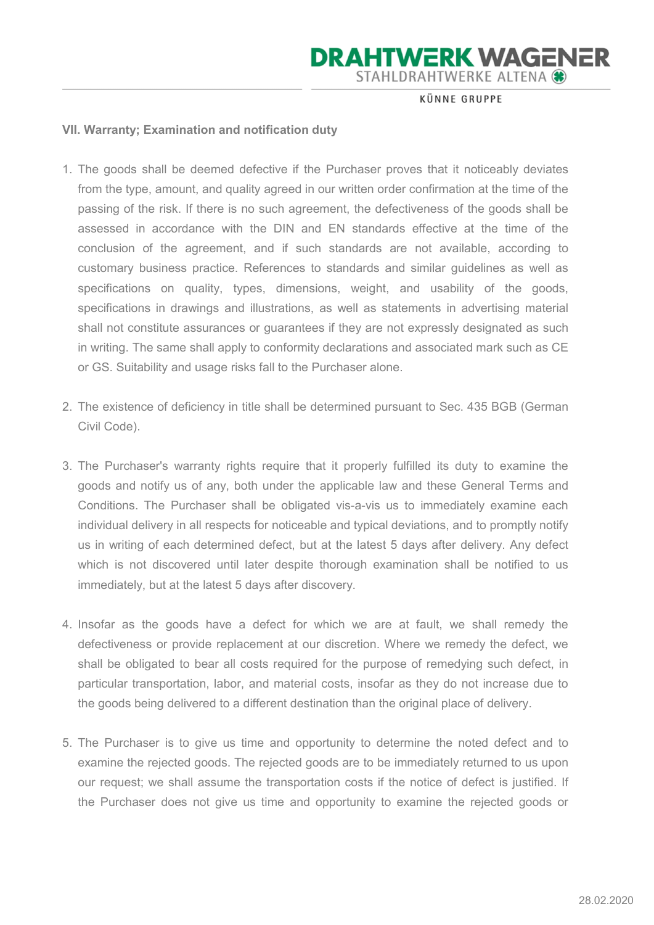**KÜNNE GRUPPE** 

#### VII. Warranty; Examination and notification duty

- 1. The goods shall be deemed defective if the Purchaser proves that it noticeably deviates from the type, amount, and quality agreed in our written order confirmation at the time of the passing of the risk. If there is no such agreement, the defectiveness of the goods shall be assessed in accordance with the DIN and EN standards effective at the time of the conclusion of the agreement, and if such standards are not available, according to customary business practice. References to standards and similar guidelines as well as specifications on quality, types, dimensions, weight, and usability of the goods, specifications in drawings and illustrations, as well as statements in advertising material shall not constitute assurances or guarantees if they are not expressly designated as such in writing. The same shall apply to conformity declarations and associated mark such as CE or GS. Suitability and usage risks fall to the Purchaser alone.
- 2. The existence of deficiency in title shall be determined pursuant to Sec. 435 BGB (German Civil Code).
- 3. The Purchaser's warranty rights require that it properly fulfilled its duty to examine the goods and notify us of any, both under the applicable law and these General Terms and Conditions. The Purchaser shall be obligated vis-a-vis us to immediately examine each individual delivery in all respects for noticeable and typical deviations, and to promptly notify us in writing of each determined defect, but at the latest 5 days after delivery. Any defect which is not discovered until later despite thorough examination shall be notified to us immediately, but at the latest 5 days after discovery.
- 4. Insofar as the goods have a defect for which we are at fault, we shall remedy the defectiveness or provide replacement at our discretion. Where we remedy the defect, we shall be obligated to bear all costs required for the purpose of remedying such defect, in particular transportation, labor, and material costs, insofar as they do not increase due to the goods being delivered to a different destination than the original place of delivery.
- 5. The Purchaser is to give us time and opportunity to determine the noted defect and to examine the rejected goods. The rejected goods are to be immediately returned to us upon our request; we shall assume the transportation costs if the notice of defect is justified. If the Purchaser does not give us time and opportunity to examine the rejected goods or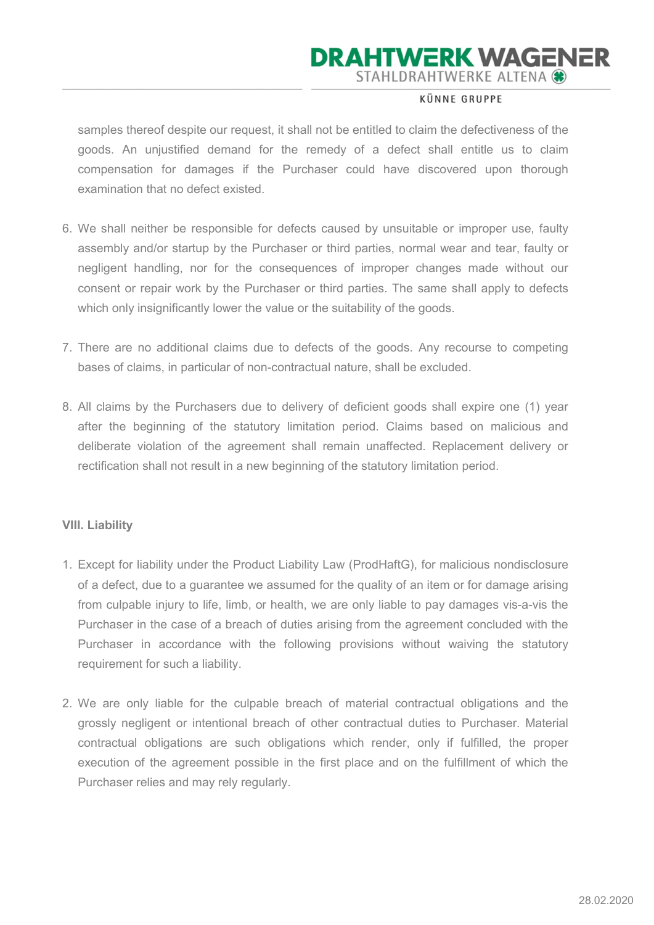### **KÜNNE GRUPPE**

samples thereof despite our request, it shall not be entitled to claim the defectiveness of the goods. An unjustified demand for the remedy of a defect shall entitle us to claim compensation for damages if the Purchaser could have discovered upon thorough examination that no defect existed.

- 6. We shall neither be responsible for defects caused by unsuitable or improper use, faulty assembly and/or startup by the Purchaser or third parties, normal wear and tear, faulty or negligent handling, nor for the consequences of improper changes made without our consent or repair work by the Purchaser or third parties. The same shall apply to defects which only insignificantly lower the value or the suitability of the goods.
- 7. There are no additional claims due to defects of the goods. Any recourse to competing bases of claims, in particular of non-contractual nature, shall be excluded.
- 8. All claims by the Purchasers due to delivery of deficient goods shall expire one (1) year after the beginning of the statutory limitation period. Claims based on malicious and deliberate violation of the agreement shall remain unaffected. Replacement delivery or rectification shall not result in a new beginning of the statutory limitation period.

#### VIII. Liability

- 1. Except for liability under the Product Liability Law (ProdHaftG), for malicious nondisclosure of a defect, due to a guarantee we assumed for the quality of an item or for damage arising from culpable injury to life, limb, or health, we are only liable to pay damages vis-a-vis the Purchaser in the case of a breach of duties arising from the agreement concluded with the Purchaser in accordance with the following provisions without waiving the statutory requirement for such a liability.
- 2. We are only liable for the culpable breach of material contractual obligations and the grossly negligent or intentional breach of other contractual duties to Purchaser. Material contractual obligations are such obligations which render, only if fulfilled, the proper execution of the agreement possible in the first place and on the fulfillment of which the Purchaser relies and may rely regularly.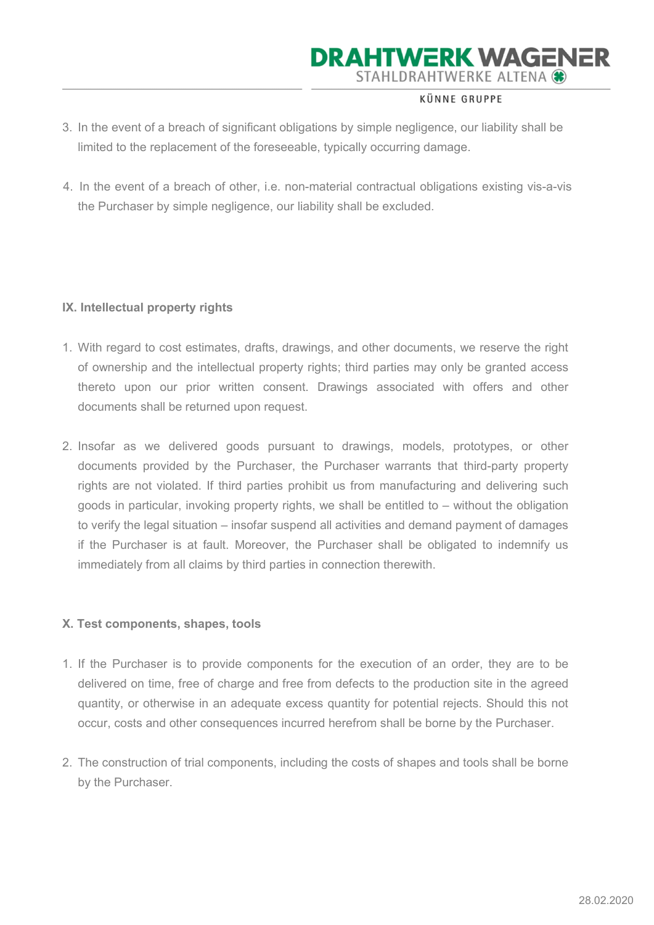#### **KÜNNE GRUPPE**

- 3. In the event of a breach of significant obligations by simple negligence, our liability shall be limited to the replacement of the foreseeable, typically occurring damage.
- 4. In the event of a breach of other, i.e. non-material contractual obligations existing vis-a-vis the Purchaser by simple negligence, our liability shall be excluded.

### IX. Intellectual property rights

- 1. With regard to cost estimates, drafts, drawings, and other documents, we reserve the right of ownership and the intellectual property rights; third parties may only be granted access thereto upon our prior written consent. Drawings associated with offers and other documents shall be returned upon request.
- 2. Insofar as we delivered goods pursuant to drawings, models, prototypes, or other documents provided by the Purchaser, the Purchaser warrants that third-party property rights are not violated. If third parties prohibit us from manufacturing and delivering such goods in particular, invoking property rights, we shall be entitled to – without the obligation to verify the legal situation – insofar suspend all activities and demand payment of damages if the Purchaser is at fault. Moreover, the Purchaser shall be obligated to indemnify us immediately from all claims by third parties in connection therewith.

#### X. Test components, shapes, tools

- 1. If the Purchaser is to provide components for the execution of an order, they are to be delivered on time, free of charge and free from defects to the production site in the agreed quantity, or otherwise in an adequate excess quantity for potential rejects. Should this not occur, costs and other consequences incurred herefrom shall be borne by the Purchaser.
- 2. The construction of trial components, including the costs of shapes and tools shall be borne by the Purchaser.